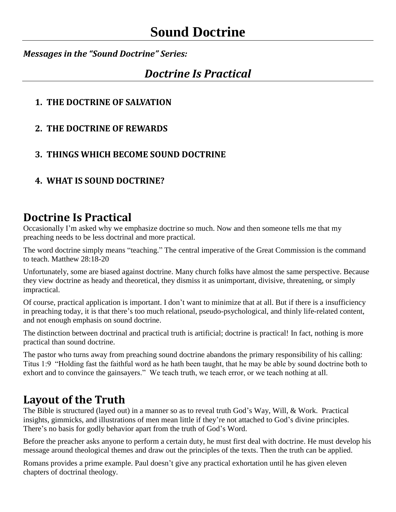*Messages in the "Sound Doctrine" Series:*

### *Doctrine Is Practical*

#### **1. THE DOCTRINE OF SALVATION**

**2. THE DOCTRINE OF REWARDS**

#### **3. THINGS WHICH BECOME SOUND DOCTRINE**

**4. WHAT IS SOUND DOCTRINE?**

## **Doctrine Is Practical**

Occasionally I'm asked why we emphasize doctrine so much. Now and then someone tells me that my preaching needs to be less doctrinal and more practical.

The word doctrine simply means "teaching." The central imperative of the Great Commission is the command to teach. Matthew 28:18-20

Unfortunately, some are biased against doctrine. Many church folks have almost the same perspective. Because they view doctrine as heady and theoretical, they dismiss it as unimportant, divisive, threatening, or simply impractical.

Of course, practical application is important. I don't want to minimize that at all. But if there is a insufficiency in preaching today, it is that there's too much relational, pseudo-psychological, and thinly life-related content, and not enough emphasis on sound doctrine.

The distinction between doctrinal and practical truth is artificial; doctrine is practical! In fact, nothing is more practical than sound doctrine.

The pastor who turns away from preaching sound doctrine abandons the primary responsibility of his calling: Titus 1:9 "Holding fast the faithful word as he hath been taught, that he may be able by sound doctrine both to exhort and to convince the gainsayers." We teach truth, we teach error, or we teach nothing at all.

# **Layout of the Truth**

The Bible is structured (layed out) in a manner so as to reveal truth God's Way, Will, & Work. Practical insights, gimmicks, and illustrations of men mean little if they're not attached to God's divine principles. There's no basis for godly behavior apart from the truth of God's Word.

Before the preacher asks anyone to perform a certain duty, he must first deal with doctrine. He must develop his message around theological themes and draw out the principles of the texts. Then the truth can be applied.

Romans provides a prime example. Paul doesn't give any practical exhortation until he has given eleven chapters of doctrinal theology.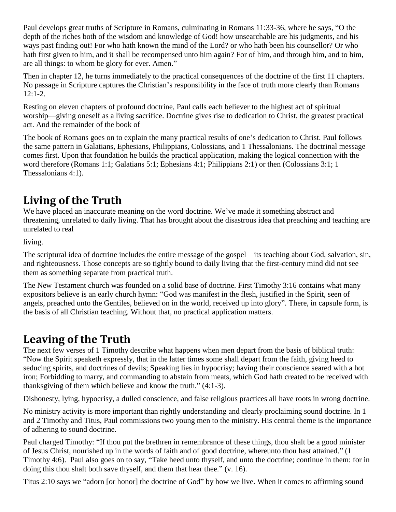Paul develops great truths of Scripture in Romans, culminating in Romans 11:33-36, where he says, "O the depth of the riches both of the wisdom and knowledge of God! how unsearchable are his judgments, and his ways past finding out! For who hath known the mind of the Lord? or who hath been his counsellor? Or who hath first given to him, and it shall be recompensed unto him again? For of him, and through him, and to him, are all things: to whom be glory for ever. Amen."

Then in chapter 12, he turns immediately to the practical consequences of the doctrine of the first 11 chapters. No passage in Scripture captures the Christian's responsibility in the face of truth more clearly than Romans  $12:1-2.$ 

Resting on eleven chapters of profound doctrine, Paul calls each believer to the highest act of spiritual worship—giving oneself as a living sacrifice. Doctrine gives rise to dedication to Christ, the greatest practical act. And the remainder of the book of

The book of Romans goes on to explain the many practical results of one's dedication to Christ. Paul follows the same pattern in Galatians, Ephesians, Philippians, Colossians, and 1 Thessalonians. The doctrinal message comes first. Upon that foundation he builds the practical application, making the logical connection with the word therefore (Romans 1:1; Galatians 5:1; Ephesians 4:1; Philippians 2:1) or then (Colossians 3:1; 1 Thessalonians 4:1).

## **Living of the Truth**

We have placed an inaccurate meaning on the word doctrine. We've made it something abstract and threatening, unrelated to daily living. That has brought about the disastrous idea that preaching and teaching are unrelated to real

living.

The scriptural idea of doctrine includes the entire message of the gospel—its teaching about God, salvation, sin, and righteousness. Those concepts are so tightly bound to daily living that the first-century mind did not see them as something separate from practical truth.

The New Testament church was founded on a solid base of doctrine. First Timothy 3:16 contains what many expositors believe is an early church hymn: "God was manifest in the flesh, justified in the Spirit, seen of angels, preached unto the Gentiles, believed on in the world, received up into glory". There, in capsule form, is the basis of all Christian teaching. Without that, no practical application matters.

## **Leaving of the Truth**

The next few verses of 1 Timothy describe what happens when men depart from the basis of biblical truth: "Now the Spirit speaketh expressly, that in the latter times some shall depart from the faith, giving heed to seducing spirits, and doctrines of devils; Speaking lies in hypocrisy; having their conscience seared with a hot iron; Forbidding to marry, and commanding to abstain from meats, which God hath created to be received with thanksgiving of them which believe and know the truth." (4:1-3).

Dishonesty, lying, hypocrisy, a dulled conscience, and false religious practices all have roots in wrong doctrine.

No ministry activity is more important than rightly understanding and clearly proclaiming sound doctrine. In 1 and 2 Timothy and Titus, Paul commissions two young men to the ministry. His central theme is the importance of adhering to sound doctrine.

Paul charged Timothy: "If thou put the brethren in remembrance of these things, thou shalt be a good minister of Jesus Christ, nourished up in the words of faith and of good doctrine, whereunto thou hast attained." (1 Timothy 4:6). Paul also goes on to say, "Take heed unto thyself, and unto the doctrine; continue in them: for in doing this thou shalt both save thyself, and them that hear thee." (v. 16).

Titus 2:10 says we "adorn [or honor] the doctrine of God" by how we live. When it comes to affirming sound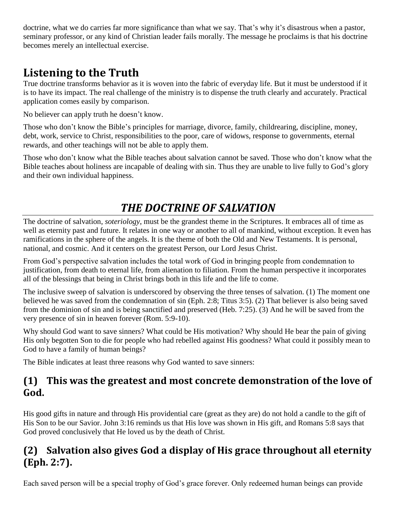doctrine, what we do carries far more significance than what we say. That's why it's disastrous when a pastor, seminary professor, or any kind of Christian leader fails morally. The message he proclaims is that his doctrine becomes merely an intellectual exercise.

## **Listening to the Truth**

True doctrine transforms behavior as it is woven into the fabric of everyday life. But it must be understood if it is to have its impact. The real challenge of the ministry is to dispense the truth clearly and accurately. Practical application comes easily by comparison.

No believer can apply truth he doesn't know.

Those who don't know the Bible's principles for marriage, divorce, family, childrearing, discipline, money, debt, work, service to Christ, responsibilities to the poor, care of widows, response to governments, eternal rewards, and other teachings will not be able to apply them.

Those who don't know what the Bible teaches about salvation cannot be saved. Those who don't know what the Bible teaches about holiness are incapable of dealing with sin. Thus they are unable to live fully to God's glory and their own individual happiness.

## *THE DOCTRINE OF SALVATION*

The doctrine of salvation, *soteriology*, must be the grandest theme in the Scriptures. It embraces all of time as well as eternity past and future. It relates in one way or another to all of mankind, without exception. It even has ramifications in the sphere of the angels. It is the theme of both the Old and New Testaments. It is personal, national, and cosmic. And it centers on the greatest Person, our Lord Jesus Christ.

From God's perspective salvation includes the total work of God in bringing people from condemnation to justification, from death to eternal life, from alienation to filiation. From the human perspective it incorporates all of the blessings that being in Christ brings both in this life and the life to come.

The inclusive sweep of salvation is underscored by observing the three tenses of salvation. (1) The moment one believed he was saved from the condemnation of sin (Eph. 2:8; Titus 3:5). (2) That believer is also being saved from the dominion of sin and is being sanctified and preserved (Heb. 7:25). (3) And he will be saved from the very presence of sin in heaven forever (Rom. 5:9-10).

Why should God want to save sinners? What could be His motivation? Why should He bear the pain of giving His only begotten Son to die for people who had rebelled against His goodness? What could it possibly mean to God to have a family of human beings?

The Bible indicates at least three reasons why God wanted to save sinners:

#### **(1) This was the greatest and most concrete demonstration of the love of God.**

His good gifts in nature and through His providential care (great as they are) do not hold a candle to the gift of His Son to be our Savior. John 3:16 reminds us that His love was shown in His gift, and Romans 5:8 says that God proved conclusively that He loved us by the death of Christ.

### **(2) Salvation also gives God a display of His grace throughout all eternity (Eph. 2:7).**

Each saved person will be a special trophy of God's grace forever. Only redeemed human beings can provide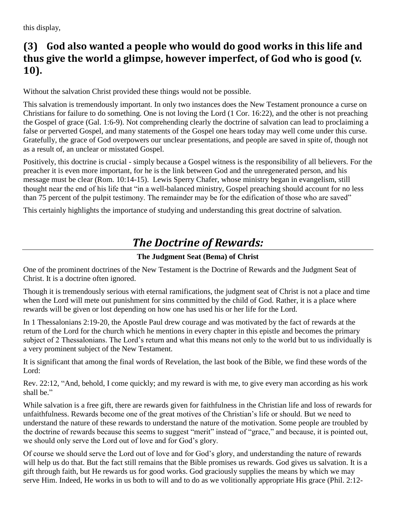this display,

#### **(3) God also wanted a people who would do good works in this life and thus give the world a glimpse, however imperfect, of God who is good (v. 10).**

Without the salvation Christ provided these things would not be possible.

This salvation is tremendously important. In only two instances does the New Testament pronounce a curse on Christians for failure to do something. One is not loving the Lord (1 Cor. 16:22), and the other is not preaching the Gospel of grace (Gal. 1:6-9). Not comprehending clearly the doctrine of salvation can lead to proclaiming a false or perverted Gospel, and many statements of the Gospel one hears today may well come under this curse. Gratefully, the grace of God overpowers our unclear presentations, and people are saved in spite of, though not as a result of, an unclear or misstated Gospel.

Positively, this doctrine is crucial - simply because a Gospel witness is the responsibility of all believers. For the preacher it is even more important, for he is the link between God and the unregenerated person, and his message must be clear (Rom. 10:14-15). Lewis Sperry Chafer, whose ministry began in evangelism, still thought near the end of his life that "in a well-balanced ministry, Gospel preaching should account for no less than 75 percent of the pulpit testimony. The remainder may be for the edification of those who are saved"

This certainly highlights the importance of studying and understanding this great doctrine of salvation.

# *The Doctrine of Rewards:*

#### **The Judgment Seat (Bema) of Christ**

One of the prominent doctrines of the New Testament is the Doctrine of Rewards and the Judgment Seat of Christ. It is a doctrine often ignored.

Though it is tremendously serious with eternal ramifications, the judgment seat of Christ is not a place and time when the Lord will mete out punishment for sins committed by the child of God. Rather, it is a place where rewards will be given or lost depending on how one has used his or her life for the Lord.

In 1 Thessalonians 2:19-20, the Apostle Paul drew courage and was motivated by the fact of rewards at the return of the Lord for the church which he mentions in every chapter in this epistle and becomes the primary subject of 2 Thessalonians. The Lord's return and what this means not only to the world but to us individually is a very prominent subject of the New Testament.

It is significant that among the final words of Revelation, the last book of the Bible, we find these words of the Lord:

Rev. 22:12, "And, behold, I come quickly; and my reward is with me, to give every man according as his work shall be."

While salvation is a free gift, there are rewards given for faithfulness in the Christian life and loss of rewards for unfaithfulness. Rewards become one of the great motives of the Christian's life or should. But we need to understand the nature of these rewards to understand the nature of the motivation. Some people are troubled by the doctrine of rewards because this seems to suggest "merit" instead of "grace," and because, it is pointed out, we should only serve the Lord out of love and for God's glory.

Of course we should serve the Lord out of love and for God's glory, and understanding the nature of rewards will help us do that. But the fact still remains that the Bible promises us rewards. God gives us salvation. It is a gift through faith, but He rewards us for good works. God graciously supplies the means by which we may serve Him. Indeed, He works in us both to will and to do as we volitionally appropriate His grace (Phil. 2:12-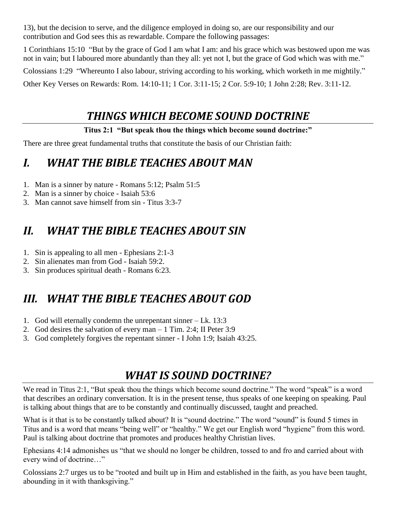13), but the decision to serve, and the diligence employed in doing so, are our responsibility and our contribution and God sees this as rewardable. Compare the following passages:

1 Corinthians 15:10 "But by the grace of God I am what I am: and his grace which was bestowed upon me was not in vain; but I laboured more abundantly than they all: yet not I, but the grace of God which was with me."

Colossians 1:29 "Whereunto I also labour, striving according to his working, which worketh in me mightily."

Other Key Verses on Rewards: Rom. 14:10-11; 1 Cor. 3:11-15; 2 Cor. 5:9-10; 1 John 2:28; Rev. 3:11-12.

## *THINGS WHICH BECOME SOUND DOCTRINE*

#### **Titus 2:1 "But speak thou the things which become sound doctrine:"**

There are three great fundamental truths that constitute the basis of our Christian faith:

## *I. WHAT THE BIBLE TEACHES ABOUT MAN*

- 1. Man is a sinner by nature Romans 5:12; Psalm 51:5
- 2. Man is a sinner by choice Isaiah 53:6
- 3. Man cannot save himself from sin Titus 3:3-7

# *II. WHAT THE BIBLE TEACHES ABOUT SIN*

- 1. Sin is appealing to all men Ephesians 2:1-3
- 2. Sin alienates man from God Isaiah 59:2.
- 3. Sin produces spiritual death Romans 6:23.

# *III. WHAT THE BIBLE TEACHES ABOUT GOD*

- 1. God will eternally condemn the unrepentant sinner Lk. 13:3
- 2. God desires the salvation of every man 1 Tim. 2:4; II Peter 3:9
- 3. God completely forgives the repentant sinner I John 1:9; Isaiah 43:25.

# *WHAT IS SOUND DOCTRINE?*

We read in Titus 2:1, "But speak thou the things which become sound doctrine." The word "speak" is a word that describes an ordinary conversation. It is in the present tense, thus speaks of one keeping on speaking. Paul is talking about things that are to be constantly and continually discussed, taught and preached.

What is it that is to be constantly talked about? It is "sound doctrine." The word "sound" is found 5 times in Titus and is a word that means "being well" or "healthy." We get our English word "hygiene" from this word. Paul is talking about doctrine that promotes and produces healthy Christian lives.

Ephesians 4:14 admonishes us "that we should no longer be children, tossed to and fro and carried about with every wind of doctrine…"

Colossians 2:7 urges us to be "rooted and built up in Him and established in the faith, as you have been taught, abounding in it with thanksgiving."